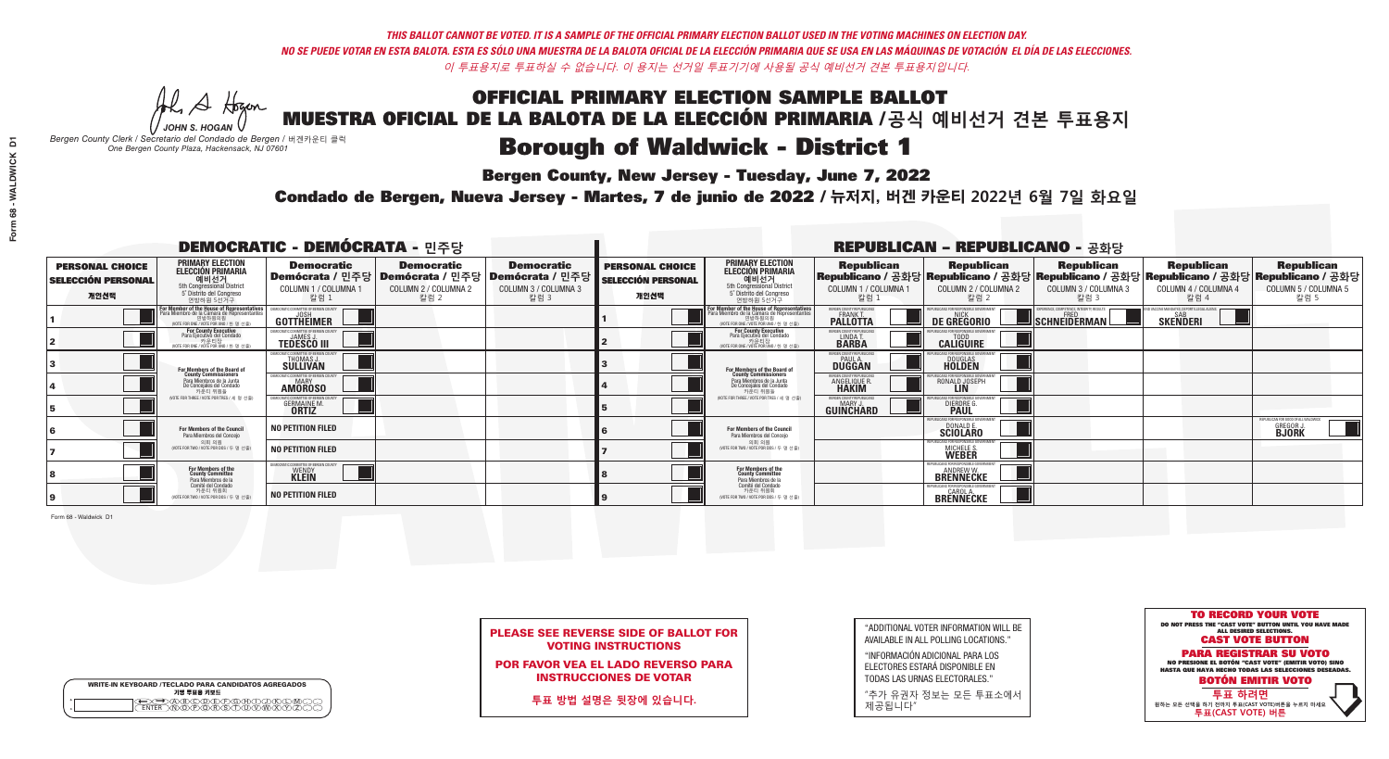**Bergen County, New Jersey - Tuesday, June 7, 2022** 

A Hogen *JOHN S. HOGAN*

| <b>WRITE-IN KEYBOARD /TECLADO PARA CANDIDATOS AGREGADOS</b><br>기명 투표용 키보드 |  |
|---------------------------------------------------------------------------|--|
| ACBCODECPGCHOX<br><u>\ጝሸጽ</u> ጽጽችአ                                        |  |

*Bergen County Clerk / Secretario del Condado de Bergen /* 버겐카운티 클럭 *One Bergen County Plaza, Hackensack, NJ 07601*

Condado de Bergen, Nueva Jersey - Martes, 7 de junio de 2022 / 뉴저지, 버겐 카운티 2022년 6월 7일 화요일 *One Bergen County Plaza, Hackensack, NJ 07601*



| <b>PLEASE SEE REVERSE SIDE OF BALLOT FOR</b> |
|----------------------------------------------|
| <b>VOTING INSTRUCTIONS</b>                   |

POR FAVOR VEA EL LADO REVERSO PARA INSTRUCCIONES DE VOTAR

**투표 방법 설명은 뒷장에 있습니다.**

| "ADDITIONAL VOTER INFORMATION WILL BE |
|---------------------------------------|
| AVAILABLE IN ALL POLLING LOCATIONS."  |

"INFORMACIÓN ADICIONAL PARA LOS ELECTORES ESTARÁ DISPONIBLE EN TODAS LAS URNAS ELECTORALES."

"추가 유권자 정보는 모든 투표소에서 제공됩니다"

| <b>DEMOCRATIC - DEMÓCRATA - 민주당</b>                         |                                                                                                                                               |                                                                                       |                                                   |                                                                        | <b>REPUBLICAN - REPUBLICANO - 공화당</b>                       |                                                                                                                                               |                                                                |                                                                                                                                                |                                                          |                                                           |                                                                         |
|-------------------------------------------------------------|-----------------------------------------------------------------------------------------------------------------------------------------------|---------------------------------------------------------------------------------------|---------------------------------------------------|------------------------------------------------------------------------|-------------------------------------------------------------|-----------------------------------------------------------------------------------------------------------------------------------------------|----------------------------------------------------------------|------------------------------------------------------------------------------------------------------------------------------------------------|----------------------------------------------------------|-----------------------------------------------------------|-------------------------------------------------------------------------|
| <b>PERSONAL CHOICE</b><br><b>SELECCIÓN PERSONAL</b><br>개인선택 | <b>PRIMARY ELECTION</b><br><b>ELECCIÓN PRIMARIA</b><br>예비선거<br><sup>5th</sup> Congressional District<br>5° Distrito del Congreso<br>연방하원 5선거구 | <b>Democratic</b><br>│Demócrata / 민주당│Demócrata / 민주당<br>COLUMN 1 / COLUMNA 1<br>칼럼 1 | <b>Democratic</b><br>COLUMN 2 / COLUMNA 2<br>칼럼 2 | <b>Democratic</b><br>│Demócrata / 민주당│<br>COLUMN 3 / COLUMNA 3<br>칼럼 3 | <b>PERSONAL CHOICE</b><br><b>SELECCIÓN PERSONAL</b><br>개인선택 | <b>PRIMARY ELECTION</b><br>ELECCIÓN PRIMARIA<br>예비선거<br>5th Congressional District<br>5° Distrito del Congreso<br>연방하원 5선거구                   | <b>Republican</b><br>COLUMN 1 / COLUMNA 1<br>칼럼 :              | <b>Republican</b><br>Republicano / 공화당 Republicano / 공화당 Republicano / 공화당 Republicano / 공화당 Republicano / 공화당<br>COLUMN 2 / COLUMNA 2<br>칼럼 2 | <b>Republican</b><br>COLUMN 3 / COLUMNA 3<br>칼럼 3        | <b>Republican</b><br>COLUMN 4 / COLUMNA 4<br>칼럼 4         | <b>Republican</b><br>COLUMN 5 / COLUMNA 5<br>칼럼 5                       |
|                                                             | or Member of the House of Representatives<br>a Miembro de la Cámara de Representante<br>연방하원의원<br>(VOTE FOR ONE / VOTE POR UNO / 한 명 선출)      | DEMOCRATIC COMMITTEE OF BERGEN COUNTY<br>GOTTHEIMER                                   |                                                   |                                                                        |                                                             | For Member of the House of Representatives<br>Para Miembro de la Cámara de Representantes<br>연방하원의원<br>(VOTE FOR ONE / VOTE POR UNO / 한 명 선출) | ERGEN COUNTY REPUBLICANS<br><b>FRANKT</b>                      | DE GREGORIO                                                                                                                                    | PERIENCE, COMPETENCE, INTEGRITY, RESULTS<br>SCHNEIDERMAN | VD VACCINE MANDATES, DEPORT ILLEGAL ALIENS.  <br>SKEÑDERI |                                                                         |
|                                                             | <b>For County Executive</b><br>Para Ejecutivo del Condado<br>NOTE FOR ONE / VOTE POR UNO / 한 명 선출)                                            | JEMOCRATIC COMMITTEE OF BERGEN COUNTY<br><b>TEDESCO III</b>                           |                                                   |                                                                        |                                                             | For County Executive<br>Para Ejecutivo del Condado<br>7) 카운티장<br>(VOTE FOR ONE / VOTE POR UNO / 한 명 선출                                        | BERGEN COUNTY REPUBLICAN:<br>LINDA T.                          | <b>CALIGUIRE</b>                                                                                                                               |                                                          |                                                           |                                                                         |
|                                                             | <b>For Members of the Board of<br/>County Commissioners</b>                                                                                   | MOCRATIC COMMITTEE OF BERGEN COUNTY:<br><b>SULLIVAN</b>                               |                                                   |                                                                        |                                                             | For Members of the Board of<br>County Commissioners                                                                                           | ERGEN COUNTY REPUBLICAN<br><b>DUGGAN</b>                       | <b>DOUGLAS</b>                                                                                                                                 |                                                          |                                                           |                                                                         |
|                                                             | Para Miembros de la Junta<br>De Concejales del Condado<br>카운티 위원들                                                                             | <b>10CRATIC COMMITTEE OF BERGEN COUNT</b><br><b>AMOROSO</b>                           |                                                   |                                                                        |                                                             | Para Miembros de la Junta<br>De Concejales del Condado<br>카운티 위원들                                                                             | ERGEN COUNTY REPUBLICAN:<br><b>ANGELIQUE R</b><br><b>HAKIM</b> | RONALD JOSEPH<br><b>LIN</b>                                                                                                                    |                                                          |                                                           |                                                                         |
|                                                             | NOTE FOR THREE / VOTE POR TRES / 세 명 선출)                                                                                                      | CRATIC COMMITTEE OF BERGEN CO<br><b>GERMAINE M.</b><br><b>ORTIZ</b>                   |                                                   |                                                                        |                                                             | NOTE FOR THREE / VOTE POR TRES / 세 명 선출                                                                                                       | BERGEN COUNTY REPUBLICANS<br>MARY J.<br>GUINCHARD              | S FOR RESPONSIBI E GC<br><b>DIERDRE</b>                                                                                                        |                                                          |                                                           |                                                                         |
|                                                             | For Members of the Council<br>Para Miembros del Conceio                                                                                       | <b>NO PETITION FILED</b>                                                              |                                                   |                                                                        |                                                             | For Members of the Council<br>Para Miembros del Conceio                                                                                       |                                                                | PUBLICANS FOR RESPONSIBLE G<br><b>SCIOLARO</b>                                                                                                 |                                                          |                                                           | REPUBLICAN FOR GOOD OF ALL WALDWICK<br><b>GREGOR J.</b><br><b>BJORK</b> |
|                                                             | 의회 의원<br>NOTE FOR TWO / VOTE POR DOS / 두 명 선출                                                                                                 | <b>NO PETITION FILED</b>                                                              |                                                   |                                                                        |                                                             | 의회 의원<br>(VOTE FOR TWO / VOTE POR DOS / 두 명 선출)                                                                                               |                                                                | EPUBLICANS FOR RESPONSIBLE GOVERNMENT<br>MICHELE S.                                                                                            |                                                          |                                                           |                                                                         |
|                                                             | For Members of the<br>County Committee<br>Para Miembros de la                                                                                 | MOCRATIC COMMITTEE OF BERGEN COUNT<br><b>WENDY</b><br><b>KLEIN</b>                    |                                                   |                                                                        |                                                             | For Members of the<br>County Committee<br>Para Miembros de la<br>Comité del Condado                                                           |                                                                | FPUBLICANS FOR RESPONSIBLE GO<br><b>ANDREW W.</b><br><b>BRENNECKE</b>                                                                          |                                                          |                                                           |                                                                         |
|                                                             | Comité del Condado<br>카운티 위원회<br>(VOTE FOR TWO / VOTE POR DOS / 두 명 선출)                                                                       | <b>NO PETITION FILED</b>                                                              |                                                   |                                                                        |                                                             | 카운티 위원회<br>WOTE FOR TWO / VOTE POR DOS / 두 명 선출)                                                                                              |                                                                | EPUBLICANS FOR RESPONSIBLE GOVERNMENT<br>BRENNECKE                                                                                             |                                                          |                                                           |                                                                         |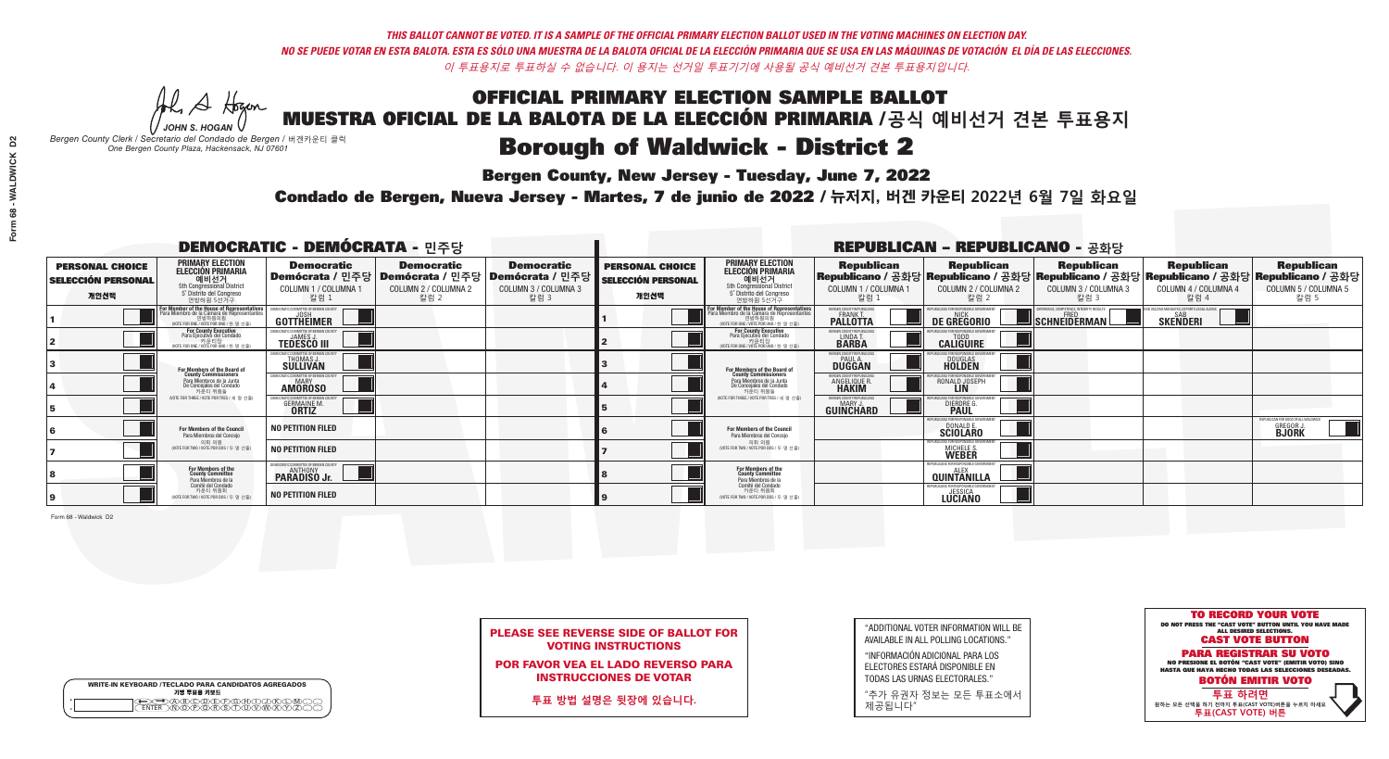**Bergen County, New Jersey - Tuesday, June 7, 2022** 

A Hogen *JOHN S. HOGAN*

| <b>WRITE-IN KEYBOARD /TECLADO PARA CANDIDATOS AGREGADOS</b><br>기명 투표용 키보드 |  |
|---------------------------------------------------------------------------|--|
| <b>FNTFR</b>                                                              |  |

*Bergen County Clerk / Secretario del Condado de Bergen /* 버겐카운티 클럭 *One Bergen County Plaza, Hackensack, NJ 07601*

Condado de Bergen, Nueva Jersey - Martes, 7 de junio de 2022 / 뉴저지, 버겐 카운티 2022년 6월 7일 화요일 *One Bergen County Plaza, Hackensack, NJ 07601*



| <b>PLEASE SEE REVERSE SIDE OF BALLOT FOR</b> |  |
|----------------------------------------------|--|
| <b>VOTING INSTRUCTIONS</b>                   |  |

POR FAVOR VEA EL LADO REVERSO PARA INSTRUCCIONES DE VOTAR

**투표 방법 설명은 뒷장에 있습니다.**

"ADDITIONAL VOTER INFORMATION WILL BE AVAILABLE IN ALL POLLING LOCATIONS."

"INFORMACIÓN ADICIONAL PARA LOS ELECTORES ESTARÁ DISPONIBLE EN TODAS LAS URNAS ELECTORALES."

"추가 유권자 정보는 모든 투표소에서 제공됩니다"

|                                                             |                                                                                                                                                 | <b>DEMOCRATIC - DEMÓCRATA - 민주당</b>                                 |                                                   |                                                                                                        | <b>REPUBLICAN - REPUBLICANO - 공화당</b>                       |                                                                                                                                               |                                                            |                                                                   |                                                         |                                                                                                                                                |                                                                         |
|-------------------------------------------------------------|-------------------------------------------------------------------------------------------------------------------------------------------------|---------------------------------------------------------------------|---------------------------------------------------|--------------------------------------------------------------------------------------------------------|-------------------------------------------------------------|-----------------------------------------------------------------------------------------------------------------------------------------------|------------------------------------------------------------|-------------------------------------------------------------------|---------------------------------------------------------|------------------------------------------------------------------------------------------------------------------------------------------------|-------------------------------------------------------------------------|
| <b>PERSONAL CHOICE</b><br><b>SELECCIÓN PERSONAL</b><br>개인선택 | <b>PRIMARY ELECTION</b><br><b>ELECCIÓN PRIMARIA</b><br>예비선거<br><sup>6</sup> 예비선거<br>5° Distrito del Congreso<br>연방하원 5선거구                       | <b>Democratic</b><br>COLUMN 1 / COLUMNA 1<br>칼럼 :                   | <b>Democratic</b><br>COLUMN 2 / COLUMNA 2<br>칼럼 2 | <b>Democratic</b><br>│Demócrata / 민주당│Demócrata / 민주당│Demócrata / 민주당│<br>COLUMN 3 / COLUMNA 3<br>칼럼 3 | <b>PERSONAL CHOICE</b><br><b>SELECCIÓN PERSONAL</b><br>개인선택 | <b>PRIMARY ELECTION</b><br>ELECCIÓN PRIMARIA<br>예비선거<br>5th Congressional District<br>5° Distrito del Congreso<br>연방하원 5선거구                   | <b>Republican</b><br>COLUMN 1 / COLUMNA 1<br>칼럼 :          | <b>Republican</b><br>COLUMN 2 / COLUMNA 2<br>칼럼                   | <b>Republican</b><br>COLUMN 3 / COLUMNA 3<br>칼럼 3       | <b>Republican</b><br>Republicano / 공화당 Republicano / 공화당 Republicano / 공화당 Republicano / 공화당 Republicano / 공화당<br>COLUMN 4 / COLUMNA 4<br>칼럼 4 | <b>Republican</b><br>COLUMN 5 / COLUMNA 5<br>칼럼 5                       |
|                                                             | <b>r Member of the House of Representatives</b><br>ra Miembro de la Cámara de Representante<br>연방하원의원<br>(VOTE FOR ONE / VOTE POR UNO / 한 명 선출) | DEMOCRATIC COMMITTEE OF BERGEN COL<br>GOTTHEIMER                    |                                                   |                                                                                                        |                                                             | For Member of the House of Representatives<br>Para Miembro de la Cámara de Representantes<br>연방하원의원<br>(WOTE FOR ONE / VOTE POR UNO / 한 명 선출) | ERGEN COUNTY REPUBLICAN<br><b>PALLOTTA</b>                 | DE GREGORIO                                                       | PERIENCE. COMPETENCE. INTEGRITY. RESULT<br>SCHNEIDERMAN | D VACCINE MANDATES, DEPORT ILLEGAL ALIENS<br><b>SKENDERI</b>                                                                                   |                                                                         |
|                                                             | <b>For County Executive</b><br>Para Ejecutivo del Condado<br>7 카운티장<br>(VOTE FOR ONE / VOTE POR UNO / 한 명 선출)                                   | JEMOCRATIC COMMITTEE OF BERGEN COUNTY<br><b>TEDESCO III</b>         |                                                   |                                                                                                        |                                                             | <b>For County Executive</b><br>Para Ejecutivo del Condado<br>│ 카운티장<br>(VOTE FOR ONE / VOTE POR UNO / 한 명 선출)                                 | BERGEN COUNTY REPUBLICAN<br>LINDAT.                        | <b>CALIGUIRE</b>                                                  |                                                         |                                                                                                                                                |                                                                         |
|                                                             | <b>For Members of the Board of<br/>County Commissioners</b>                                                                                     | MOCRATIC COMMITTEE OF BERGEN COUNTY<br><b>SULLIVAN</b>              |                                                   |                                                                                                        |                                                             | For Members of the Board of<br>County Commissioners                                                                                           | ERGEN COUNTY REPUBLICAN<br><b>PAUL A.</b><br><b>DUGGAN</b> | <b>DOUGLAS</b><br><b>HOLDEN</b>                                   |                                                         |                                                                                                                                                |                                                                         |
|                                                             | Para Miembros de la Junta<br>De Concejales del Condado<br>카우티 위원들                                                                               | OCRATIC COMMITTEE OF BERGEN COUNTY<br><b>MARY</b><br><b>AMOROSO</b> |                                                   |                                                                                                        |                                                             | Para Miembros de la Junta<br>De Concejales del Condado<br>카우티 위원들                                                                             | ERGEN COUNTY REPUBLICAN<br><b>ANGELIQUE R<br/>HAKIM</b>    | RONALD JOSEPH                                                     |                                                         |                                                                                                                                                |                                                                         |
|                                                             | NOTE FOR THREE / VOTE POR TRES / 세 명 선출)                                                                                                        | RATIC COMMITTEE OF BERGEN CO:<br><b>GERMAINE M.</b><br><b>ORTIZ</b> |                                                   |                                                                                                        |                                                             | (VOTE FOR THREE / VOTE POR TRES / 세 명 선출                                                                                                      | BERGEN COUNTY REPUBLICANS<br>MARY .I<br>GUINCHARD          | FOR RESPONSIBLE GO<br><b>DIERDRE</b> Q                            |                                                         |                                                                                                                                                |                                                                         |
|                                                             | For Members of the Council<br>Para Miembros del Concejo                                                                                         | <b>NO PETITION FILED</b>                                            |                                                   |                                                                                                        |                                                             | <b>For Members of the Council</b><br>Para Miembros del Conceio                                                                                |                                                            | PUBLICANS FOR RESPONSIBLE GO<br><b>SCIOLARO</b>                   |                                                         |                                                                                                                                                | REPUBLICAN FOR GOOD OF ALL WALDWICK<br><b>GREGOR J.</b><br><b>BJORK</b> |
|                                                             | 의회 의원<br>NOTE FOR TWO / VOTE POR DOS / 두 명 선출                                                                                                   | <b>NO PETITION FILED</b>                                            |                                                   |                                                                                                        |                                                             | 의회 의원<br>WOTE FOR TWO / VOTE POR DOS / 두 명 선출)                                                                                                |                                                            | PUBLICANS FOR RESPONSIBLE GOVERNMEN<br>MICHELE S.<br><b>WEBER</b> |                                                         |                                                                                                                                                |                                                                         |
|                                                             | For Members of the<br>County Committee<br>Para Miembros de la                                                                                   | MOCRATIC COMMITTEE OF BERGEN COUNTY:<br><b>PARADISO Jr.</b>         |                                                   |                                                                                                        |                                                             | For Members of the<br>County Committee<br>Para Miembros de la<br>Comité del Condado                                                           |                                                            | FPUBLICANS FOR RESPONSIBLE GO<br>AI FX<br><b>QUINTANILLA</b>      |                                                         |                                                                                                                                                |                                                                         |
|                                                             | Comité del Condado<br>카운티 위원회<br>(VOTE FOR TWO / VOTE POR DOS / 두 명 선출)                                                                         | <b>NO PETITION FILED</b>                                            |                                                   |                                                                                                        |                                                             | 카운티 위원회<br>WOTE FOR TWO / VOTE POR DOS / 두 명 선출)                                                                                              |                                                            | EPUBLICANS FOR RESPONSIBLE GOVERNMENT<br><b>LUCIANO</b>           |                                                         |                                                                                                                                                |                                                                         |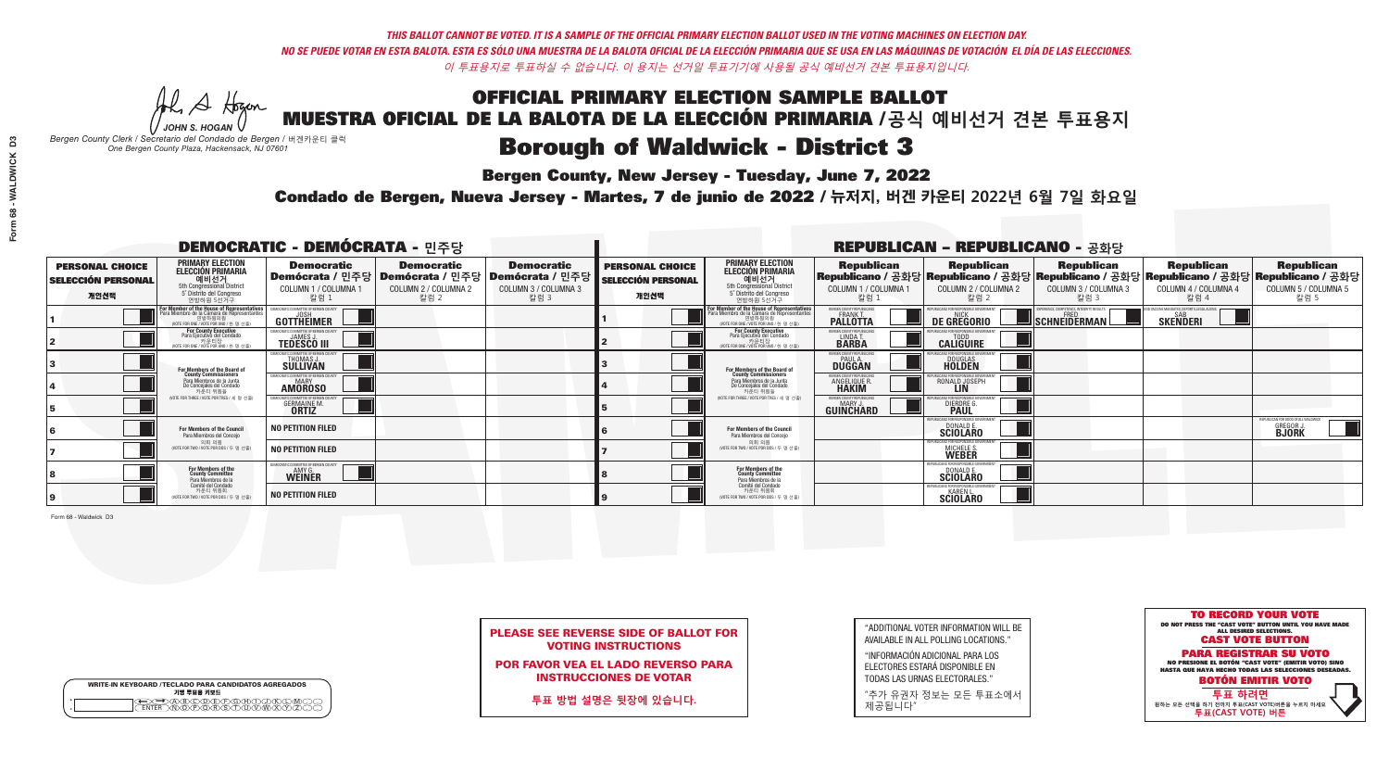**Bergen County, New Jersey - Tuesday, June 7, 2022** 

A Hogen *JOHN S. HOGAN*

| <b>WRITE-IN KEYBOARD /TECLADO PARA CANDIDATOS AGREGADOS</b><br>기명 투표용 키보드 |  |
|---------------------------------------------------------------------------|--|
| ACBCODECPGCHOX<br><u>\ጝሸጽ</u> ጽጽችአ                                        |  |

*Bergen County Clerk / Secretario del Condado de Bergen /* 버겐카운티 클럭 *One Bergen County Plaza, Hackensack, NJ 07601*

Condado de Bergen, Nueva Jersey - Martes, 7 de junio de 2022 / 뉴저지, 버겐 카운티 2022년 6월 7일 화요일 *One Bergen County Plaza, Hackensack, NJ 07601*



| <b>PLEASE SEE REVERSE SIDE OF BALLOT FOR</b> |
|----------------------------------------------|
| <b>VOTING INSTRUCTIONS</b>                   |

POR FAVOR VEA EL LADO REVERSO PARA INSTRUCCIONES DE VOTAR

**투표 방법 설명은 뒷장에 있습니다.**

"ADDITIONAL VOTER INFORMATION WILL BE AVAILABLE IN ALL POLLING LOCATIONS."

"INFORMACIÓN ADICIONAL PARA LOS ELECTORES ESTARÁ DISPONIBLE EN TODAS LAS URNAS ELECTORALES."

"추가 유권자 정보는 모든 투표소에서 제공됩니다"

| <b>DEMOCRATIC - DEMÓCRATA - 민주당</b>                         |                                                                                                                                             |                                                                     |                                                   |                                                                                                        | <b>REPUBLICAN - REPUBLICANO - 공화당</b>                       |                                                                                                                                               |                                                               |                                                  |                                                                                                                                                |                                                                    |                                                                         |
|-------------------------------------------------------------|---------------------------------------------------------------------------------------------------------------------------------------------|---------------------------------------------------------------------|---------------------------------------------------|--------------------------------------------------------------------------------------------------------|-------------------------------------------------------------|-----------------------------------------------------------------------------------------------------------------------------------------------|---------------------------------------------------------------|--------------------------------------------------|------------------------------------------------------------------------------------------------------------------------------------------------|--------------------------------------------------------------------|-------------------------------------------------------------------------|
| <b>PERSONAL CHOICE</b><br><b>SELECCIÓN PERSONAL</b><br>개인선택 | <b>PRIMARY ELECTION</b><br><b>ELECCIÓN PRIMARIA</b><br>예비선거<br>5th Congressional District<br>5° Distrito del Congreso<br>연방하원 5선거구          | <b>Democratic</b><br>COLUMN 1 / COLUMNA 1<br>칼럼 1                   | <b>Democratic</b><br>COLUMN 2 / COLUMNA 2<br>칼럼 2 | <b>Democratic</b><br>│Demócrata / 민주당│Demócrata / 민주당│Demócrata / 민주당│<br>COLUMN 3 / COLUMNA 3<br>칼럼 3 | <b>PERSONAL CHOICE</b><br><b>SELECCIÓN PERSONAL</b><br>개인선택 | <b>PRIMARY ELECTION</b><br>ELECCIÓN PRIMARIA<br>예비선거<br>5th Congressional District<br>5° Distrito del Congreso<br>연방하원 5선거구                   | <b>Republican</b><br>COLUMN 1 / COLUMNA 1<br>飞람.              | <b>Republican</b><br>COLUMN 2 / COLUMNA 2<br>칼럼. | <b>Republican</b><br>Republicano / 공화당 Republicano / 공화당 Republicano / 공화당 Republicano / 공화당 Republicano / 공화당<br>COLUMN 3 / COLUMNA 3<br>칼럼 3 | <b>Republican</b><br>COLUMN 4 / COLUMNA 4<br>칼럼 4                  | <b>Republican</b><br>COLUMN 5 / COLUMNA 5<br>칼럼 5                       |
|                                                             | or Member of the House of Representatives<br>ara Miembro de la Cámara de Representantes<br>연방하원의원<br>(VOTE FOR ONE / VOTE POR UNO / 한 명 선출) | DEMOCRATIC COMMITTEE OF BERGEN COUNT<br>GOTTHEIMER                  |                                                   |                                                                                                        |                                                             | For Member of the House of Representatives<br>Para Miembro de la Cámara de Representantes<br>연방하원의원<br>(VOTE FOR ONE / VOTE POR UNO / 한 명 선출) | BERGEN COUNTY REPUBLICAN:<br><b>PALLOTTA</b>                  | DE GREGORIO                                      | SCHNEIDERMAN                                                                                                                                   | VACCINE MANDATES, DEPORT ILLEGAL ALIENS.<br><b>SAB</b><br>SKEÑDERI |                                                                         |
|                                                             | For County Executive<br>Para Ejecutivo del Condado<br>가운티장 - 카운티장<br>(VOTE FOR ONE / VOTE POR UNO / 한 명 선출)                                 | DEMOCRATIC COMMITTEE OF BERGEN COUNTY<br><b>TEDESCO III</b>         |                                                   |                                                                                                        |                                                             | <b>For County Executive</b><br>Para Ejecutivo del Condado<br>. 카운티장<br>(VOTE FOR ONE / VOTE POR UNO / 한 명 선출)                                 | BERGEN COUNTY REPUBLICAN<br>LINDA T.                          | <b>CALIGUIRE</b>                                 |                                                                                                                                                |                                                                    |                                                                         |
|                                                             | <b>For Members of the Board of<br/>County Commissioners</b>                                                                                 | MOCRATIC COMMITTEE OF BERGEN COUNTY<br>THOMAS J.<br><b>SÜLLIVAN</b> |                                                   |                                                                                                        |                                                             | For Members of the Board of<br>County Commissioners                                                                                           | ERGEN COUNTY REPUBLICAN:<br><b>PAUL A.</b><br><b>DUGGAN</b>   | <b>DOUGLAS</b>                                   |                                                                                                                                                |                                                                    |                                                                         |
|                                                             | Para Miembros de la Junta<br>De Concejales del Condado<br>카운티 위원들                                                                           | <b>CRATIC COMMITTEE OF BERGEN COUNT</b><br>MARY<br><b>AMOROSO</b>   |                                                   |                                                                                                        |                                                             | Para Miembros de la Junta<br>De Concejales del Condado<br>카운티 위원들                                                                             | RGEN COUNTY REPUBLICAN!<br><b>ANGELIQUE R</b><br><b>HAKIM</b> | RONALD JOSEPH<br><b>LIN</b>                      |                                                                                                                                                |                                                                    |                                                                         |
|                                                             | NOTE FOR THREE / VOTE POR TRES / 세 명 선출)                                                                                                    | IC COMMITTEE OF BERGEN CO<br><b>GERMAINE M.</b>                     |                                                   |                                                                                                        |                                                             | NOTE FOR THREE / VOTE POR TRES / 세 명 선출                                                                                                       | ERGEN COUNTY REPUBLICANS<br><b>MARY J</b><br>GUINCHARD        | FOR RESPONSIBLE GO<br><b>DIERDRE</b>             |                                                                                                                                                |                                                                    |                                                                         |
|                                                             | For Members of the Council<br>Para Miembros del Concejo                                                                                     | <b>NO PETITION FILED</b>                                            |                                                   |                                                                                                        |                                                             | For Members of the Council<br>Para Miembros del Concejo                                                                                       |                                                               | BLICANS FOR RESPONSIBI F GO<br><b>SCIOLARO</b>   |                                                                                                                                                |                                                                    | REPUBLICAN FOR GOOD OF ALL WALDWICK<br><b>GREGOR J.</b><br><b>BJORK</b> |
|                                                             | 의회 의원<br>NOTE FOR TWO / VOTE POR DOS / 두 명 선출                                                                                               | <b>NO PETITION FILED</b>                                            |                                                   |                                                                                                        |                                                             | 의회 의원<br>NOTE FOR TWO / VOTE POR DOS / 두 명 선출)                                                                                                |                                                               | MICHELE S.                                       |                                                                                                                                                |                                                                    |                                                                         |
|                                                             | For Members of the<br>County Committee<br>Para Miembros de la<br>Comité del Condado                                                         | <b>OCRATIC COMMITTEE OF BERGEN CO</b><br><b>WEINER</b>              |                                                   |                                                                                                        |                                                             | For Members of the<br>County Committee<br>Para Miembros de la<br>Comité del Condado                                                           |                                                               | <b>DONALD E.</b><br>SCIOLARO                     |                                                                                                                                                |                                                                    |                                                                         |
|                                                             | 카운티 위원회<br>NOTE FOR TWO / VOTE POR DOS / 두 명 선출)                                                                                            | <b>NO PETITION FILED</b>                                            |                                                   |                                                                                                        |                                                             | 카운티 위원회<br>NOTE FOR TWO / VOTE POR DOS / 두 명 선출)                                                                                              |                                                               | <b>SCIOLARD</b>                                  |                                                                                                                                                |                                                                    |                                                                         |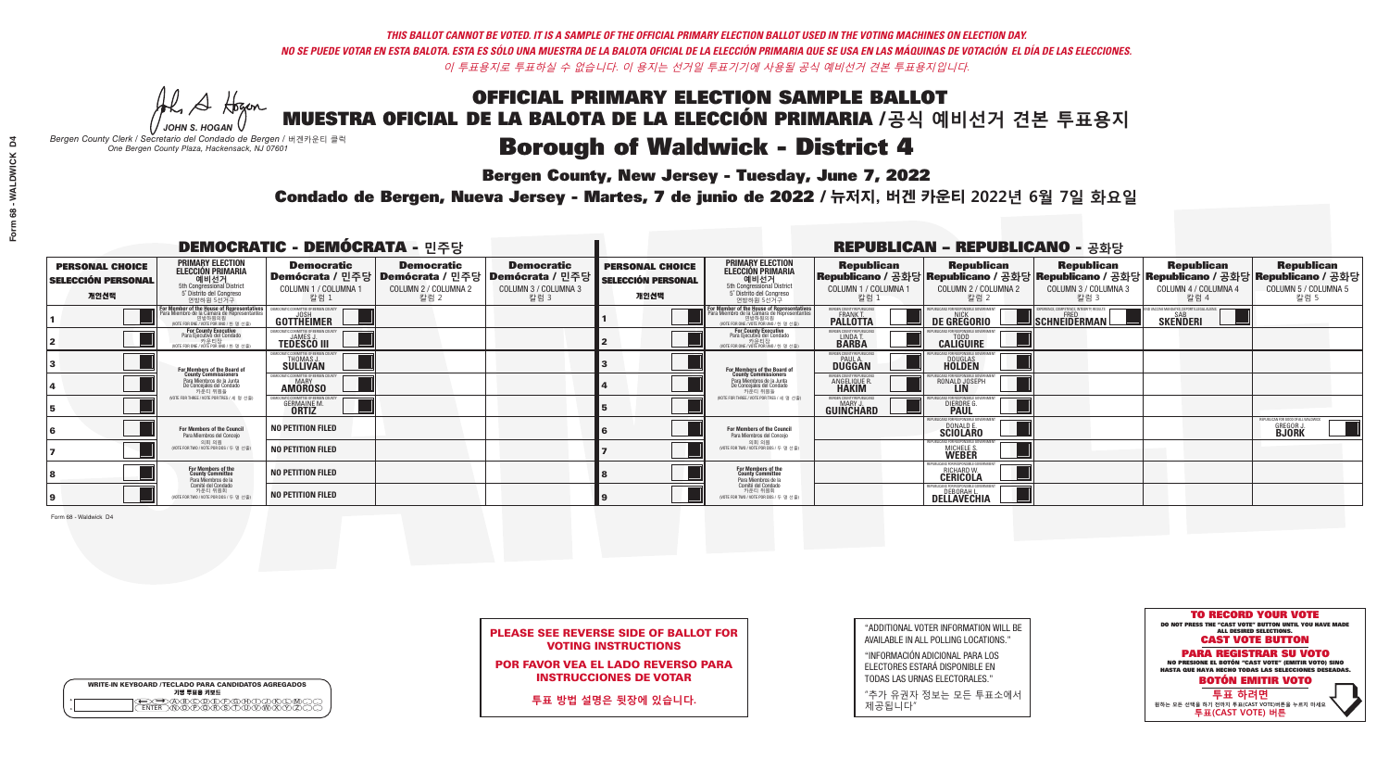**Bergen County, New Jersey - Tuesday, June 7, 2022** 

A Hogen *JOHN S. HOGAN*

| <b>WRITE-IN KEYBOARD /TECLADO PARA CANDIDATOS AGREGADOS</b><br>기명 투표용 키보드 |  |
|---------------------------------------------------------------------------|--|
| ABODDFGAA<br><u> አው</u> ጅ የአማርኛ                                           |  |

*Bergen County Clerk / Secretario del Condado de Bergen /* 버겐카운티 클럭 *One Bergen County Plaza, Hackensack, NJ 07601*

Condado de Bergen, Nueva Jersey - Martes, 7 de junio de 2022 / 뉴저지, 버겐 카운티 2022년 6월 7일 화요일 *One Bergen County Plaza, Hackensack, NJ 07601*



|  | <b>PLEASE SEE REVERSE SIDE OF BALLOT FOR</b> |  |  |
|--|----------------------------------------------|--|--|
|  | <b>VOTING INSTRUCTIONS</b>                   |  |  |

POR FAVOR VEA EL LADO REVERSO PARA INSTRUCCIONES DE VOTAR

**투표 방법 설명은 뒷장에 있습니다.**

| "ADDITIONAL VOTER INFORMATION WILL BE |
|---------------------------------------|
| AVAILABLE IN ALL POLLING LOCATIONS."  |

"INFORMACIÓN ADICIONAL PARA LOS ELECTORES ESTARÁ DISPONIBLE EN TODAS LAS URNAS ELECTORALES."

"추가 유권자 정보는 모든 투표소에서 제공됩니다"

|                                                             |                                                                                                                                           | <b>DEMOCRATIC - DEMÓCRATA - 민주당</b>                                 |                                                   |                                                                                                              |                                                             |                                                                                                                                               |                                                          | <b>REPUBLICAN - REPUBLICANO - 공화당</b>                                          |                                                                                                                                                |                                                    |                                                                         |
|-------------------------------------------------------------|-------------------------------------------------------------------------------------------------------------------------------------------|---------------------------------------------------------------------|---------------------------------------------------|--------------------------------------------------------------------------------------------------------------|-------------------------------------------------------------|-----------------------------------------------------------------------------------------------------------------------------------------------|----------------------------------------------------------|--------------------------------------------------------------------------------|------------------------------------------------------------------------------------------------------------------------------------------------|----------------------------------------------------|-------------------------------------------------------------------------|
| <b>PERSONAL CHOICE</b><br><b>SELECCIÓN PERSONAL</b><br>개인선택 | <b>PRIMARY ELECTION</b><br><b>ELECCIÓN PRIMARIA</b><br>예비선거<br><sup>6</sup> 예비선거<br>5° Distrito del Congreso<br>연방하원 5선거구                 | <b>Democratic</b><br>COLUMN 1 / COLUMNA 1<br>칼럼 1                   | <b>Democratic</b><br>COLUMN 2 / COLUMNA 2<br>칼럼 2 | <b>Democratic</b><br>  Demócrata / 민주당   Demócrata / 민주당   Demócrata / 민주당  <br>COLUMN 3 / COLUMNA 3<br>칼럼 3 | <b>PERSONAL CHOICE</b><br><b>SELECCIÓN PERSONAL</b><br>개인선택 | <b>PRIMARY ELECTION</b><br>ELECCIÓN PRIMARIA<br>예비선거<br>5th Congressional District<br>5° Distrito del Congreso<br>연방하원 5선거구                   | <b>Republican</b><br>COLUMN 1 / COLUMNA 1<br>칼럼.         | <b>Republican</b><br>COLUMN 2 / COLUMNA 2<br>칼럼.                               | <b>Republican</b><br>Republicano / 공화당 Republicano / 공화당 Republicano / 공화당 Republicano / 공화당 Republicano / 공화당<br>COLUMN 3 / COLUMNA 3<br>칼럼 3 | <b>Republican</b><br>COLUMN 4 / COLUMNA 4<br>칼럼 4  | <b>Republican</b><br>COLUMN 5 / COLUMNA 5<br>칼럼 5                       |
|                                                             | or Member of the House of Representatives<br>ra Miembro de la Cámara de Representante<br>연방하원의원<br>(VOTE FOR ONE / VOTE POR UNO / 한 명 선출) | DEMOCRATIC COMMITTEE OF BERGEN COUNT<br>GOTTHEIMER                  |                                                   |                                                                                                              |                                                             | For Member of the House of Representatives<br>Para Miembro de la Cámara de Representantes<br>연방하원의원<br>(VOTE FOR ONE / VOTE POR UNO / 한 명 선출) | ERGEN COUNTY REPUBLICAN:<br><b>PALLOTTA</b>              | DE GREGORIO                                                                    | ERIENCE, COMPETENCE, INTEGRITY, RESULT;<br>$\blacksquare$  schneiderman $\mathbin{\mathsf{L}}$                                                 | VACCINE MANDATES, DEPORT ILLEGAL ALIEN<br>SKEÑDERI |                                                                         |
|                                                             | <b>For County Executive</b><br>Para Ejecutivo del Condado<br>7 카운티장<br>(VOTE FOR ONE / VOTE POR UNO / 한 명 선출)                             | JEMOCRATIC COMMITTEE OF BERGEN COUNTY<br><b>TEDESCO III</b>         |                                                   |                                                                                                              |                                                             | For County Executive<br>Para Ejecutivo del Condado<br>7 카운티장<br>(VOTE FOR ONE / VOTE POR UNO / 한 명 선출)                                        | BERGEN COUNTY REPUBLICAN:<br>LINDAT.                     | <b>CALIGUIRE</b>                                                               |                                                                                                                                                |                                                    |                                                                         |
|                                                             | <b>For Members of the Board of<br/>County Commissioners</b>                                                                               | EMOCRATIC COMMITTEE OF BERGEN COUNTY<br><b>SULLIVAN</b>             |                                                   |                                                                                                              |                                                             | For Members of the Board of<br>County Commissioners                                                                                           | ERGEN COUNTY REPUBLICAN<br><b>DUGGAN</b>                 | <b>DOUGLAS</b><br><b>HOLDEN</b>                                                |                                                                                                                                                |                                                    |                                                                         |
|                                                             | Para Miembros de la Junta<br>De Concejales del Condado<br>카우티 위원들                                                                         | OCRATIC COMMITTEE OF BERGEN COUNTY<br><b>MARY</b><br><b>AMOROSO</b> |                                                   |                                                                                                              |                                                             | Para Miembros de la Junta<br>De Concejales del Condado<br>카운티 위원들                                                                             | ERGEN COUNTY REPUBLICAN:<br><b>ANGELIQUE R<br/>HAKIM</b> | RONALD JOSEPH<br><b>LIN</b>                                                    |                                                                                                                                                |                                                    |                                                                         |
|                                                             | NOTE FOR THREE / VOTE POR TRES / 세 명 선출)                                                                                                  | RATIC COMMITTEE OF BERGEN CO:<br><b>GERMAINE M.</b>                 |                                                   |                                                                                                              |                                                             | NOTE FOR THREE / VOTE POR TRES / 세 명 선출                                                                                                       | BERGEN COUNTY REPUBLICANS<br>MARY J<br>GUINCHARD         | FOR RESPONSIBLE GC<br><b>DIERDRE</b>                                           |                                                                                                                                                |                                                    |                                                                         |
|                                                             | For Members of the Council<br>Para Miembros del Concejo                                                                                   | <b>NO PETITION FILED</b>                                            |                                                   |                                                                                                              |                                                             | For Members of the Council<br>Para Miembros del Conceio                                                                                       |                                                          | PUBLICANS FOR RESPONSIBLE GO<br><b>SCIOLARD</b>                                |                                                                                                                                                |                                                    | REPUBLICAN FOR GOOD OF ALL WALDWICK<br><b>GREGOR J.</b><br><b>BJORK</b> |
|                                                             | 의회 의원<br>NOTE FOR TWO / VOTE POR DOS / 두 명 선출                                                                                             | <b>NO PETITION FILED</b>                                            |                                                   |                                                                                                              |                                                             | 의회 의원<br>NOTE FOR TWO / VOTE POR DOS / 두 명 선출)                                                                                                |                                                          | PUBLICANS FOR RESPONSIBLE GOVERNMEN<br>MICHELE S.                              |                                                                                                                                                |                                                    |                                                                         |
|                                                             | For Members of the<br>County Committee<br>Para Miembros de la                                                                             | <b>NO PETITION FILED</b>                                            |                                                   |                                                                                                              |                                                             | For Members of the<br>County Committee<br>Para Miembros de la<br>Comité del Condado                                                           |                                                          | FPUBLICANS FOR RESPONSIBLE G<br><b>RICHARD W</b><br><b>CERICOLA</b>            |                                                                                                                                                |                                                    |                                                                         |
|                                                             | Comité del Condado<br>카운티 위원회<br>(VOTE FOR TWO / VOTE POR DOS / 두 명 선출)                                                                   | <b>NO PETITION FILED</b>                                            |                                                   |                                                                                                              |                                                             | 카운티 위원회<br>WOTE FOR TWO / VOTE POR DOS / 두 명 선출)                                                                                              |                                                          | FPURI ICANS FOR RESPONSIBLE GOVERNMENT<br><b>DEBORAH</b><br><b>DELLAVECHIA</b> |                                                                                                                                                |                                                    |                                                                         |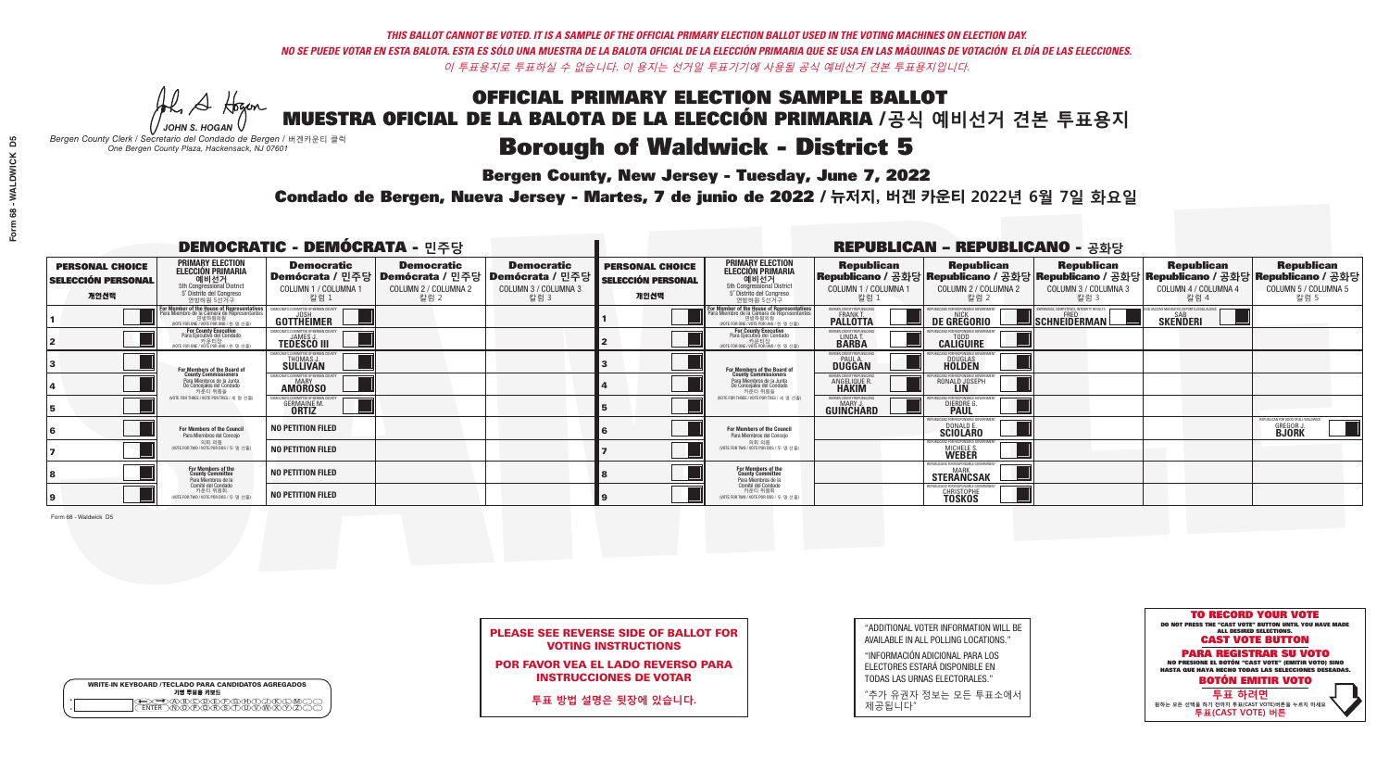**Bergen County, New Jersey - Tuesday, June 7, 2022** 

A Hogen *JOHN S. HOGAN*

| <b>WRITE-IN KEYBOARD /TECLADO PARA CANDIDATOS AGREGADOS</b><br>기명 투표용 키보드 |  |
|---------------------------------------------------------------------------|--|
| A)B)C)D)E)(F)(G)(H)(1<br><u>ጒ፝፟፟፟</u> ፟፝፟፟፟፝ዀ፝ዀ፝፟ዀ                        |  |

*Bergen County Clerk / Secretario del Condado de Bergen /* 버겐카운티 클럭 *One Bergen County Plaza, Hackensack, NJ 07601*

Condado de Bergen, Nueva Jersey - Martes, 7 de junio de 2022 / 뉴저지, 버겐 카운티 2022년 6월 7일 화요일 *One Bergen County Plaza, Hackensack, NJ 07601*



PLEASE SEE REVERSE SIDE OF BALLOT FOR VOTING INSTRUCTIONS

POR FAVOR VEA EL LADO REVERSO PARA INSTRUCCIONES DE VOTAR

**투표 방법 설명은 뒷장에 있습니다.**

| "ADDITIONAL VOTER INFORMATION WILL BE |
|---------------------------------------|
| AVAILABLE IN ALL POLLING LOCATIONS."  |

"INFORMACIÓN ADICIONAL PARA LOS ELECTORES ESTARÁ DISPONIBLE EN TODAS LAS URNAS ELECTORALES."

"추가 유권자 정보는 모든 투표소에서 제공됩니다"

| <b>DEMOCRATIC - DEMÓCRATA - 민주당</b>                         |                                                                                                                                               |                                                                                       |                                                   |                                                                        |                                                             |                                                                                                                                               |                                                                | <b>REPUBLICAN - REPUBLICANO - 공화당</b>                                                                                                          |                                                          |                                                           |                                                                         |
|-------------------------------------------------------------|-----------------------------------------------------------------------------------------------------------------------------------------------|---------------------------------------------------------------------------------------|---------------------------------------------------|------------------------------------------------------------------------|-------------------------------------------------------------|-----------------------------------------------------------------------------------------------------------------------------------------------|----------------------------------------------------------------|------------------------------------------------------------------------------------------------------------------------------------------------|----------------------------------------------------------|-----------------------------------------------------------|-------------------------------------------------------------------------|
| <b>PERSONAL CHOICE</b><br><b>SELECCIÓN PERSONAL</b><br>개인선택 | <b>PRIMARY ELECTION</b><br><b>ELECCIÓN PRIMARIA</b><br>예비선거<br><sup>5th</sup> Congressional District<br>5° Distrito del Congreso<br>연방하원 5선거구 | <b>Democratic</b><br>│Demócrata / 민주당│Demócrata / 민주당<br>COLUMN 1 / COLUMNA 1<br>칼럼 1 | <b>Democratic</b><br>COLUMN 2 / COLUMNA 2<br>칼럼 2 | <b>Democratic</b><br>│Demócrata / 민주당│<br>COLUMN 3 / COLUMNA 3<br>칼럼 3 | <b>PERSONAL CHOICE</b><br><b>SELECCIÓN PERSONAL</b><br>개인선택 | <b>PRIMARY ELECTION</b><br>ELECCIÓN PRIMARIA<br>5th Congressional District<br>5° Distrito del Congreso<br>연방하원 5선거구                           | <b>Republican</b><br>COLUMN 1 / COLUMNA 1<br>칼럼 :              | <b>Republican</b><br>Republicano / 공화당 Republicano / 공화당 Republicano / 공화당 Republicano / 공화당 Republicano / 공화당<br>COLUMN 2 / COLUMNA 2<br>칼럼 2 | <b>Republican</b><br>COLUMN 3 / COLUMNA 3<br>칼럼 3        | <b>Republican</b><br>COLUMN 4 / COLUMNA 4<br>칼럼 4         | <b>Republican</b><br>COLUMN 5 / COLUMNA 5<br>칼럼 5                       |
|                                                             | or Member of the House of Representatives<br>a Miembro de la Cámara de Representante<br>연방하원의원<br>(VOTE FOR ONE / VOTE POR UNO / 한 명 선출)      | DEMOCRATIC COMMITTEE OF BERGEN COUNTY<br>GOTTHEIMER                                   |                                                   |                                                                        |                                                             | For Member of the House of Representatives<br>Para Miembro de la Cámara de Representantes<br>연방하원의원<br>(VOTE FOR ONE / VOTE POR UNO / 한 명 선출) | ERGEN COUNTY REPUBLICANS<br><b>FRANKT</b>                      | DE GREGORIO                                                                                                                                    | PERIENCE, COMPETENCE, INTEGRITY, RESULTS<br>SCHNEIDERMAN | VD VACCINE MANDATES, DEPORT ILLEGAL ALIENS.  <br>SKEÑDERI |                                                                         |
|                                                             | <b>For County Executive</b><br>Para Ejecutivo del Condado<br>NOTE FOR ONE / VOTE POR UNO / 한 명 선출)                                            | JEMOCRATIC COMMITTEE OF BERGEN COUNTY<br><b>TEDESCO III</b>                           |                                                   |                                                                        |                                                             | For County Executive<br>Para Ejecutivo del Condado<br>7 카운티장<br>(VOTE FOR ONE / VOTE POR UNO / 한 명 선출                                         | BERGEN COUNTY REPUBLICAN:<br>LINDA T.                          | <b>CALIGUIRE</b>                                                                                                                               |                                                          |                                                           |                                                                         |
|                                                             | <b>For Members of the Board of<br/>County Commissioners</b>                                                                                   | MOCRATIC COMMITTEE OF BERGEN COUNTY:<br><b>SULLIVAN</b>                               |                                                   |                                                                        |                                                             | For Members of the Board of<br>County Commissioners                                                                                           | ERGEN COUNTY REPUBLICAN<br><b>DUGGAN</b>                       | <b>DOUGLAS</b>                                                                                                                                 |                                                          |                                                           |                                                                         |
|                                                             | Para Miembros de la Junta<br>De Concejales del Condado<br>카운티 위원들                                                                             | <b>10CRATIC COMMITTEE OF BERGEN COUNTY</b><br><b>AMOROSO</b>                          |                                                   |                                                                        |                                                             | Para Miembros de la Junta<br>De Concejales del Condado<br>카운티 위원들                                                                             | ERGEN COUNTY REPUBLICAN:<br><b>ANGELIQUE R</b><br><b>HAKIM</b> | RONALD JOSEPH<br><b>LIN</b>                                                                                                                    |                                                          |                                                           |                                                                         |
|                                                             | NOTE FOR THREE / VOTE POR TRES / 세 명 선출)                                                                                                      | CRATIC COMMITTEE OF BERGEN CO<br><b>GERMAINE M.</b>                                   |                                                   |                                                                        |                                                             | NOTE FOR THREE / VOTE POR TRES / 세 명 선출                                                                                                       | BERGEN COUNTY REPUBLICANS<br>MARY J.<br>GUINCHARD              | S FOR RESPONSIBI E GC<br><b>DIERDRE</b>                                                                                                        |                                                          |                                                           |                                                                         |
|                                                             | For Members of the Council<br>Para Miembros del Conceio                                                                                       | <b>NO PETITION FILED</b>                                                              |                                                   |                                                                        |                                                             | For Members of the Council<br>Para Miembros del Conceio                                                                                       |                                                                | PUBLICANS FOR RESPONSIBLE G<br><b>SCIOLARO</b>                                                                                                 |                                                          |                                                           | REPUBLICAN FOR GOOD OF ALL WALDWICK<br><b>GREGOR J.</b><br><b>BJORK</b> |
|                                                             | 의회 의원<br>NOTE FOR TWO / VOTE POR DOS / 두 명 선출                                                                                                 | <b>NO PETITION FILED</b>                                                              |                                                   |                                                                        |                                                             | 의회 의원<br>(VOTE FOR TWO / VOTE POR DOS / 두 명 선출)                                                                                               |                                                                | PUBLICANS FOR RESPONSIBLE GOVERNMEN<br>MICHELE S.                                                                                              |                                                          |                                                           |                                                                         |
|                                                             | For Members of the<br>County Committee<br>Para Miembros de la<br>Comité del Condado                                                           | <b>NO PETITION FILED</b>                                                              |                                                   |                                                                        |                                                             | For Members of the<br>County Committee<br>Para Miembros de la<br>Comité del Condado                                                           |                                                                | REPUBLICANS FOR RESPONSIBLE GOVE<br><b>MARK</b><br><b>STERANCSAK</b>                                                                           |                                                          |                                                           |                                                                         |
|                                                             | 카운티 위원회<br>(VOTE FOR TWO / VOTE POR DOS / 두 명 선출)                                                                                             | <b>NO PETITION FILED</b>                                                              |                                                   |                                                                        |                                                             | 카운티 위원회<br>WOTE FOR TWO / VOTE POR DOS / 두 명 선출)                                                                                              |                                                                | FPURI ICANS FOR RESPONSIBLE GOVERNMENT<br><b>CHRISTOPHE</b><br><b>TOSKOS</b>                                                                   |                                                          |                                                           |                                                                         |